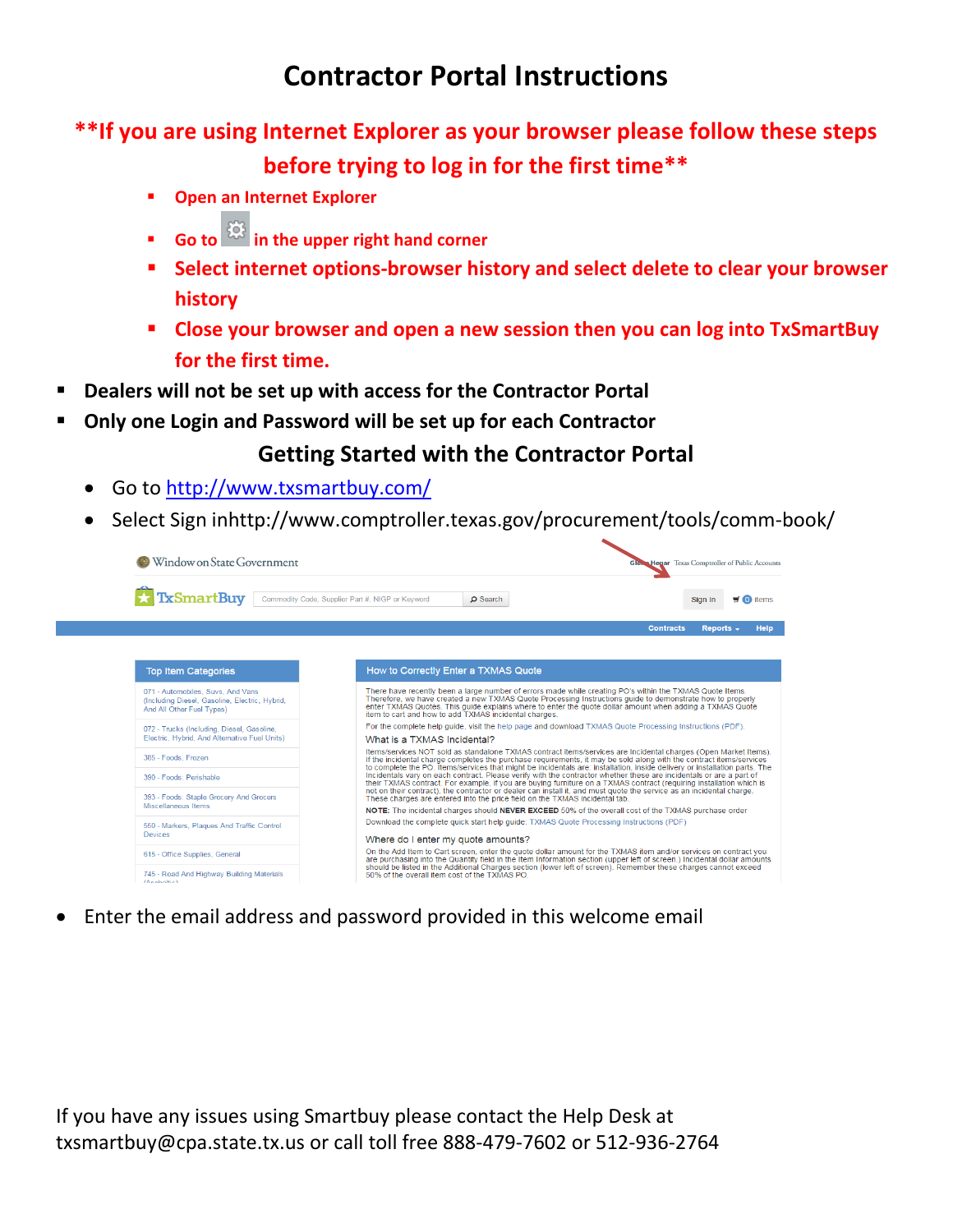# **Contractor Portal Instructions**

## **\*\*If you are using Internet Explorer as your browser please follow these steps before trying to log in for the first time\*\***

- **Open an Internet Explorer**
- **Go to in the upper right hand corner**
- **Select internet options-browser history and select delete to clear your browser history**
- **Close your browser and open a new session then you can log into TxSmartBuy for the first time.**
- **Dealers will not be set up with access for the Contractor Portal**
- **Only one Login and Password will be set up for each Contractor**

## **Getting Started with the Contractor Portal**

- Go to<http://www.txsmartbuy.com/>
- Select Sign inhttp://www.comptroller.texas.gov/procurement/tools/comm-book/



Enter the email address and password provided in this welcome email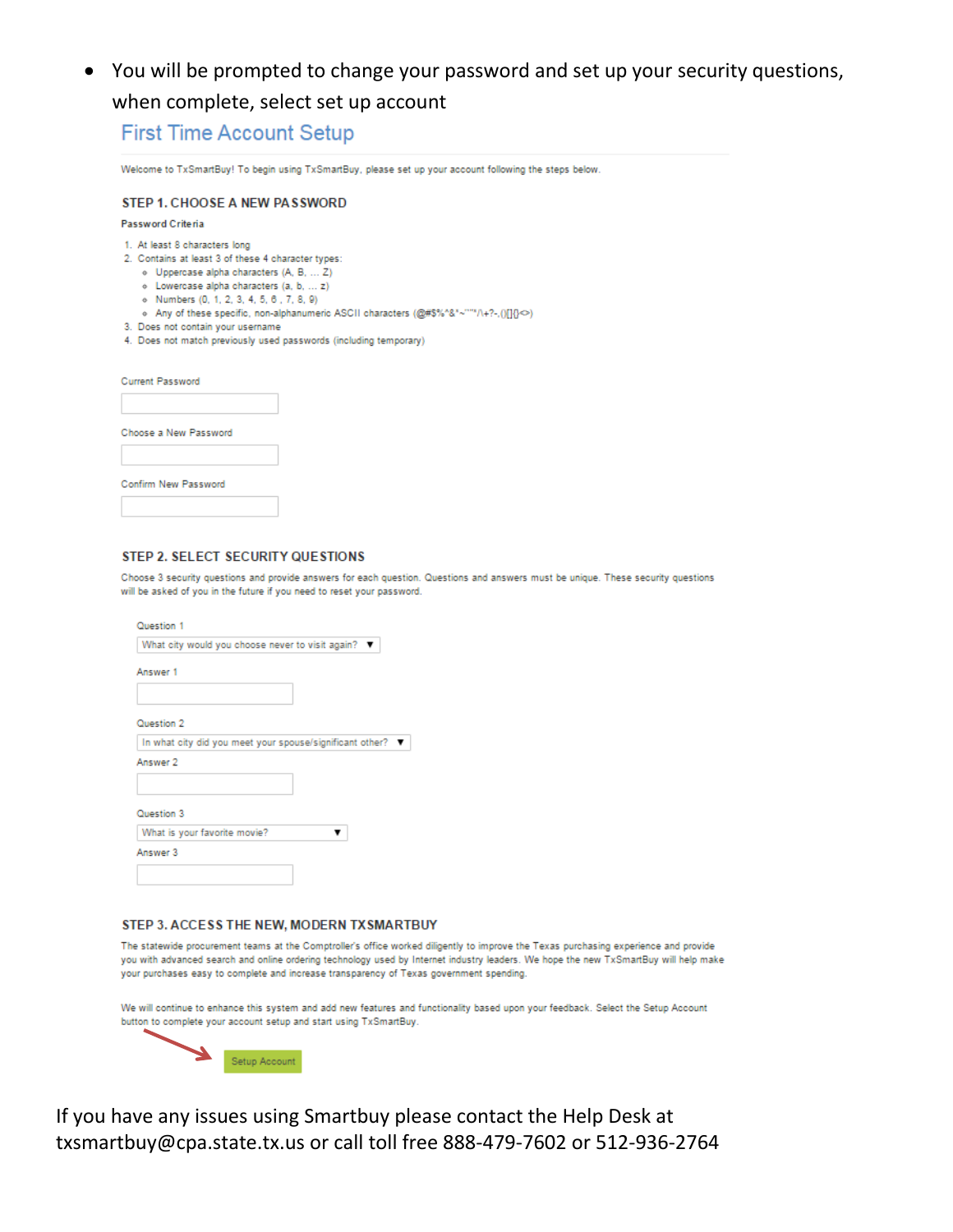You will be prompted to change your password and set up your security questions, when complete, select set up account

### **First Time Account Setup**

Welcome to TxSmartBuy! To begin using TxSmartBuy, please set up your account following the steps below.

#### STEP 1. CHOOSE A NEW PASSWORD

#### Password Criteria

- 1. At least 8 characters long
- 2. Contains at least 3 of these 4 character types:
	- o Uppercase alpha characters (A, B, ... Z)
	- o Lowercase alpha characters (a, b, ... z)
	- o Numbers (0, 1, 2, 3, 4, 5, 6, 7, 8, 9)
	- © Any of these specific, non-alphanumeric ASCII characters (@#\$%^&^~``"\*/\+?-,()[]{}
- 3. Does not contain your username
- 4. Does not match previously used passwords (including temporary)

| <b>Current Password</b> |  |
|-------------------------|--|
|                         |  |
| Choose a New Password   |  |
| Confirm New Password    |  |
|                         |  |

#### STEP 2. SELECT SECURITY QUESTIONS

Choose 3 security questions and provide answers for each question. Questions and answers must be unique. These security questions will be asked of you in the future if you need to reset your password.

| Question 1                                                            |
|-----------------------------------------------------------------------|
| What city would you choose never to visit again? $\blacktriangledown$ |
| Answer 1                                                              |
|                                                                       |
| Question 2                                                            |
| In what city did you meet your spouse/significant other?              |
| Answer 2                                                              |
|                                                                       |
| Question 3                                                            |
| What is your favorite movie?                                          |
| Answer 3                                                              |
|                                                                       |

#### STEP 3. ACCESS THE NEW, MODERN TXSMARTBUY

The statewide procurement teams at the Comptroller's office worked diligently to improve the Texas purchasing experience and provide you with advanced search and online ordering technology used by Internet industry leaders. We hope the new TxSmartBuy will help make your purchases easy to complete and increase transparency of Texas government spending.

We will continue to enhance this system and add new features and functionality based upon your feedback. Select the Setup Account button to complete your account setup and start using TxSmartBuy.

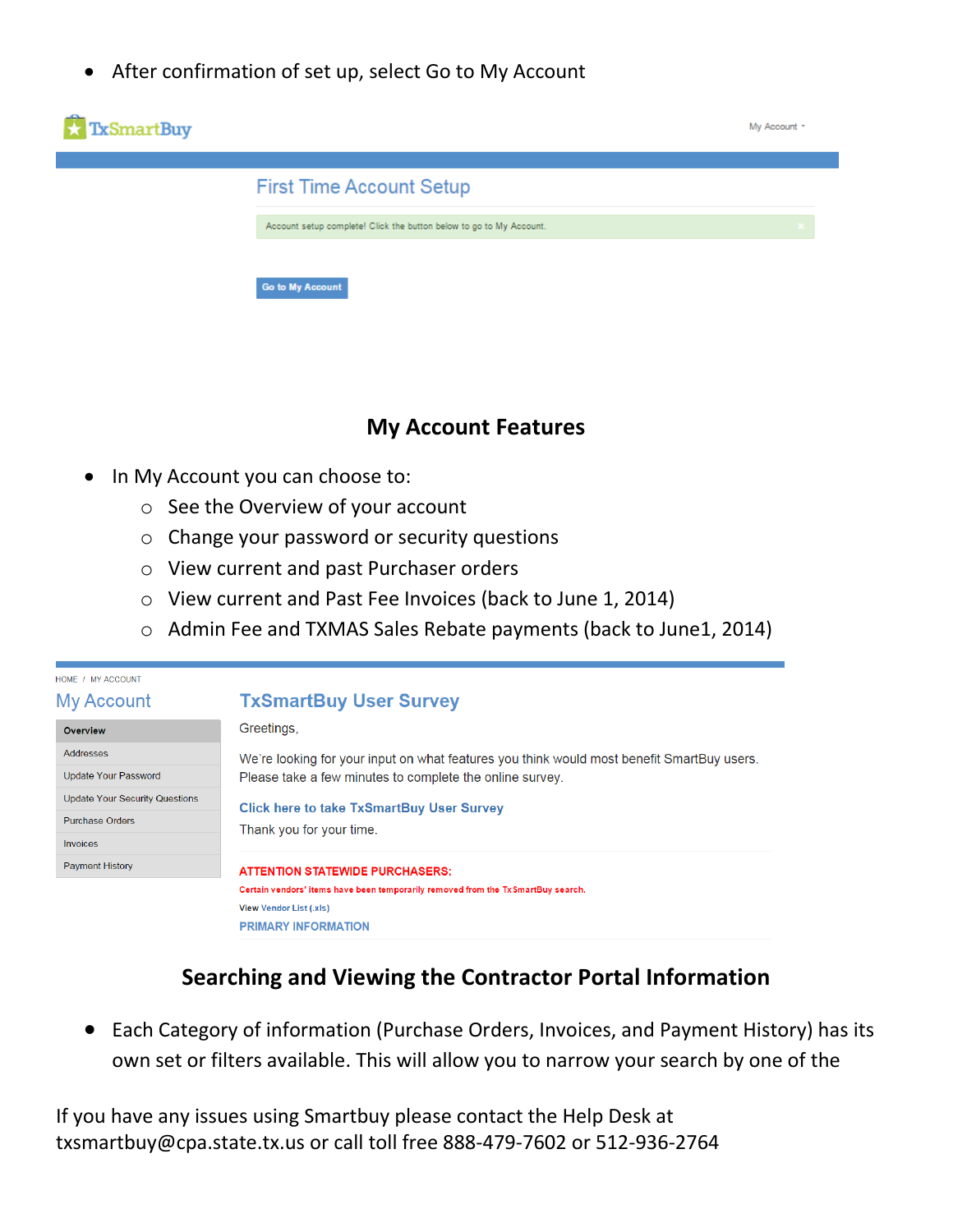After confirmation of set up, select Go to My Account

| <b>TxSmartBuy</b> |                                                                     | My Account + |
|-------------------|---------------------------------------------------------------------|--------------|
|                   | <b>First Time Account Setup</b>                                     |              |
|                   | Account setup complete! Click the button below to go to My Account. | $\mathbf{x}$ |
|                   | <b>Go to My Account</b>                                             |              |

## **My Account Features**

- In My Account you can choose to:
	- o See the Overview of your account
	- o Change your password or security questions
	- o View current and past Purchaser orders
	- o View current and Past Fee Invoices (back to June 1, 2014)
	- o Admin Fee and TXMAS Sales Rebate payments (back to June1, 2014)



## **Searching and Viewing the Contractor Portal Information**

 Each Category of information (Purchase Orders, Invoices, and Payment History) has its own set or filters available. This will allow you to narrow your search by one of the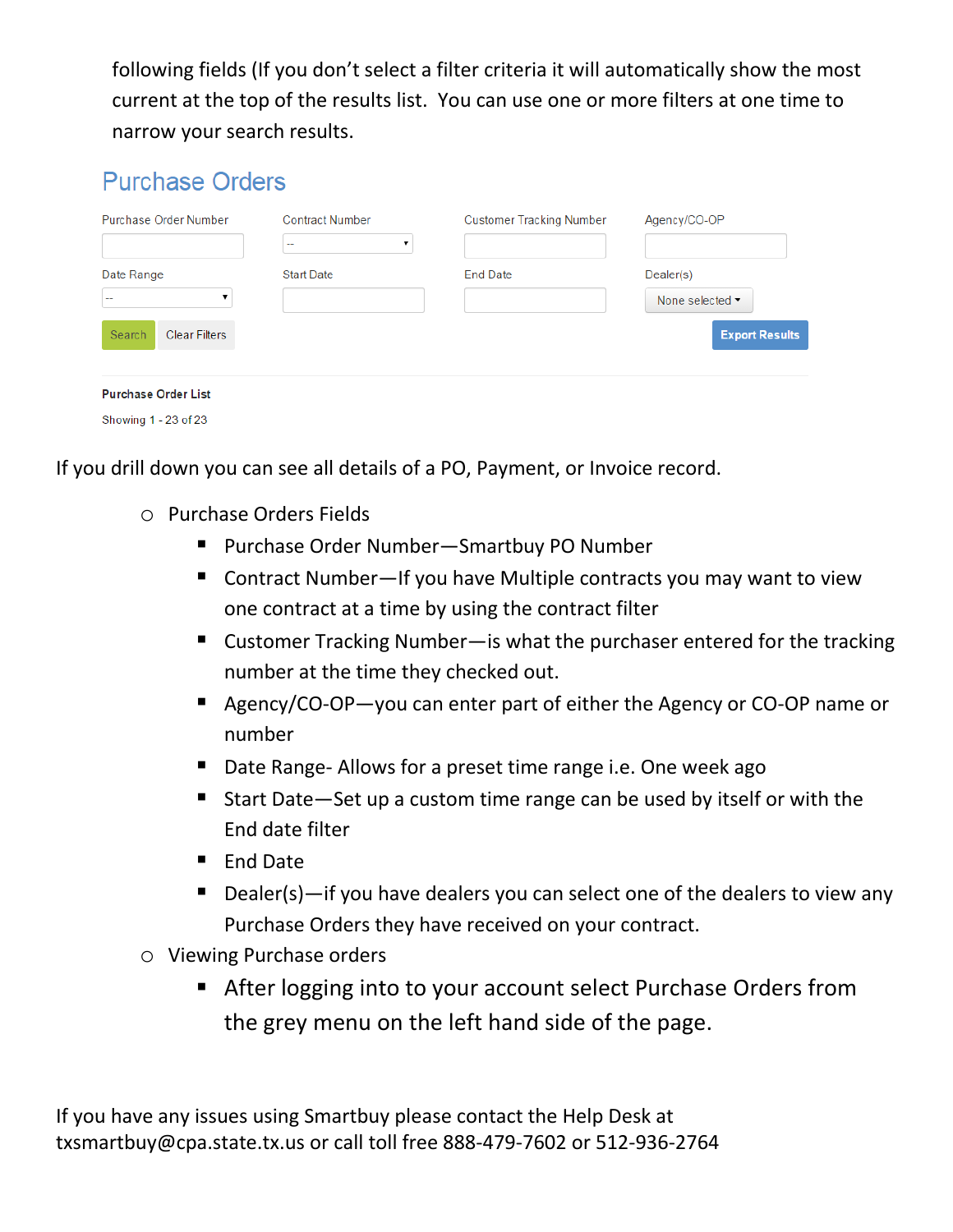following fields (If you don't select a filter criteria it will automatically show the most current at the top of the results list. You can use one or more filters at one time to narrow your search results.

# **Purchase Orders**

| Purchase Order Number                               | <b>Contract Number</b><br>▼<br>$\overline{\phantom{m}}$ | <b>Customer Tracking Number</b> | Agency/CO-OP                                                             |
|-----------------------------------------------------|---------------------------------------------------------|---------------------------------|--------------------------------------------------------------------------|
| Date Range<br>$-$<br><b>Clear Filters</b><br>Search | <b>Start Date</b>                                       | <b>End Date</b>                 | Dealer(s)<br>None selected $\blacktriangledown$<br><b>Export Results</b> |
| <b>Purchase Order List</b>                          |                                                         |                                 |                                                                          |



If you drill down you can see all details of a PO, Payment, or Invoice record.

- o Purchase Orders Fields
	- Purchase Order Number—Smartbuy PO Number
	- Contract Number—If you have Multiple contracts you may want to view one contract at a time by using the contract filter
	- Customer Tracking Number—is what the purchaser entered for the tracking number at the time they checked out.
	- Agency/CO-OP—you can enter part of either the Agency or CO-OP name or number
	- Date Range- Allows for a preset time range i.e. One week ago
	- Start Date—Set up a custom time range can be used by itself or with the End date filter
	- End Date
	- Dealer(s)—if you have dealers you can select one of the dealers to view any Purchase Orders they have received on your contract.
- o Viewing Purchase orders
	- **After logging into to your account select Purchase Orders from** the grey menu on the left hand side of the page.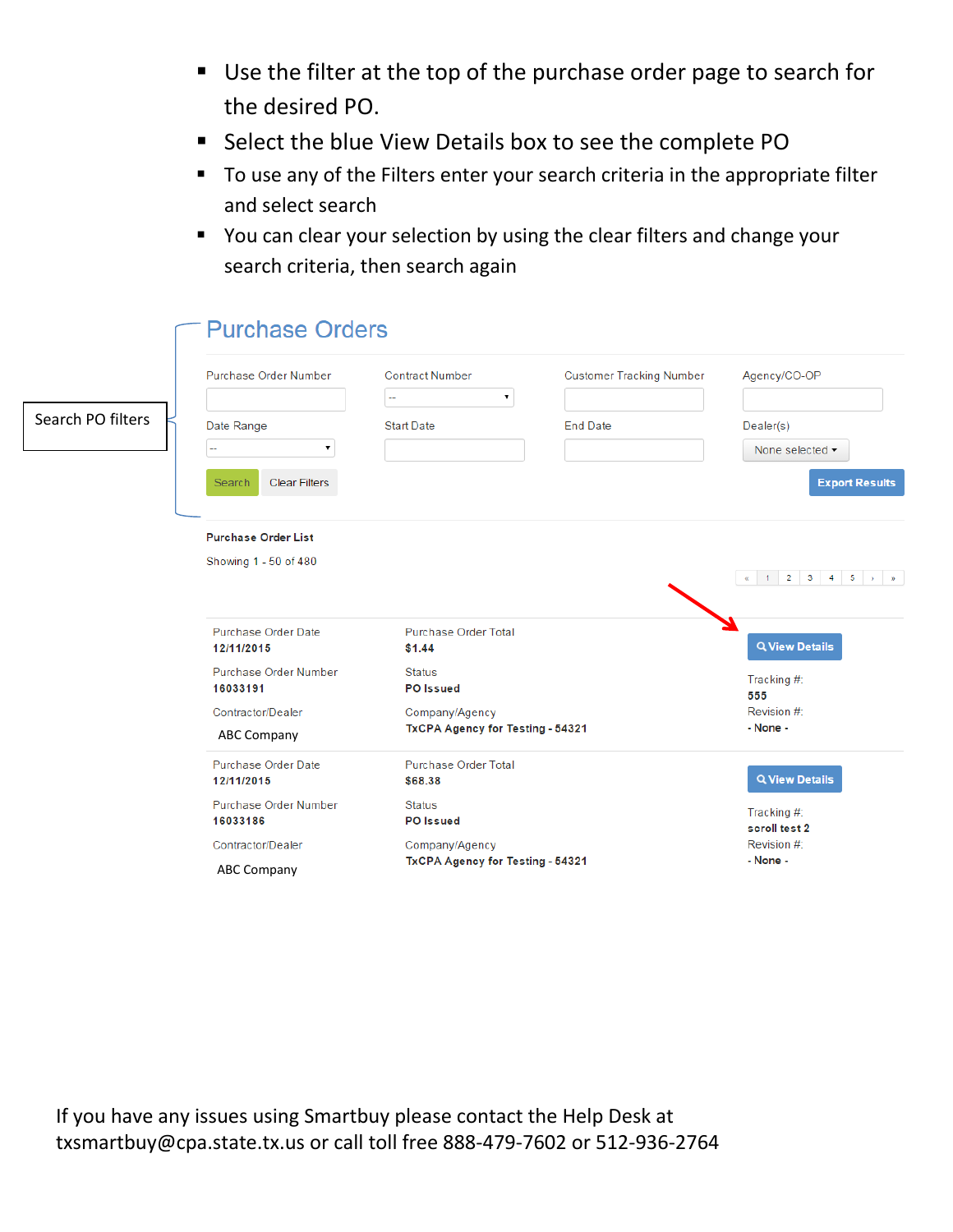- Use the filter at the top of the purchase order page to search for the desired PO.
- **Select the blue View Details box to see the complete PO**
- To use any of the Filters enter your search criteria in the appropriate filter and select search
- **•** You can clear your selection by using the clear filters and change your search criteria, then search again

|                   | <b>Purchase Orders</b>                              |                                                          |                                 |                                                                                  |
|-------------------|-----------------------------------------------------|----------------------------------------------------------|---------------------------------|----------------------------------------------------------------------------------|
|                   | Purchase Order Number                               | <b>Contract Number</b><br>۷.<br>$\overline{\phantom{a}}$ | <b>Customer Tracking Number</b> | Agency/CO-OP                                                                     |
| Search PO filters | Date Range<br>٧.<br><b>Clear Filters</b><br>Search  | <b>Start Date</b>                                        | <b>End Date</b>                 | Dealer(s)<br>None selected -<br><b>Export Results</b>                            |
|                   | <b>Purchase Order List</b><br>Showing 1 - 50 of 480 |                                                          |                                 | $2 \quad 3$<br>$4 \quad 5 \quad \rightarrow \quad \rightarrow$<br>$1 -$<br>$\ll$ |
|                   | <b>Purchase Order Date</b><br>12/11/2015            | Purchase Order Total<br>\$1.44                           |                                 | Q View Details                                                                   |
|                   | <b>Purchase Order Number</b><br>16033191            | <b>Status</b><br><b>PO</b> Issued                        |                                 | Tracking #:<br>555                                                               |
|                   | Contractor/Dealer<br><b>ABC Company</b>             | Company/Agency<br>TxCPA Agency for Testing - 54321       |                                 | Revision #:<br>- None -                                                          |
|                   | <b>Purchase Order Date</b><br>12/11/2015            | <b>Purchase Order Total</b><br>\$68.38                   |                                 | Q View Details                                                                   |
|                   | <b>Purchase Order Number</b><br>16033186            | <b>Status</b><br><b>PO</b> Issued                        |                                 | Tracking #:<br>scroll test 2                                                     |
|                   | Contractor/Dealer<br><b>ABC Company</b>             | Company/Agency<br>TxCPA Agency for Testing - 54321       |                                 | Revision #:<br>- None -                                                          |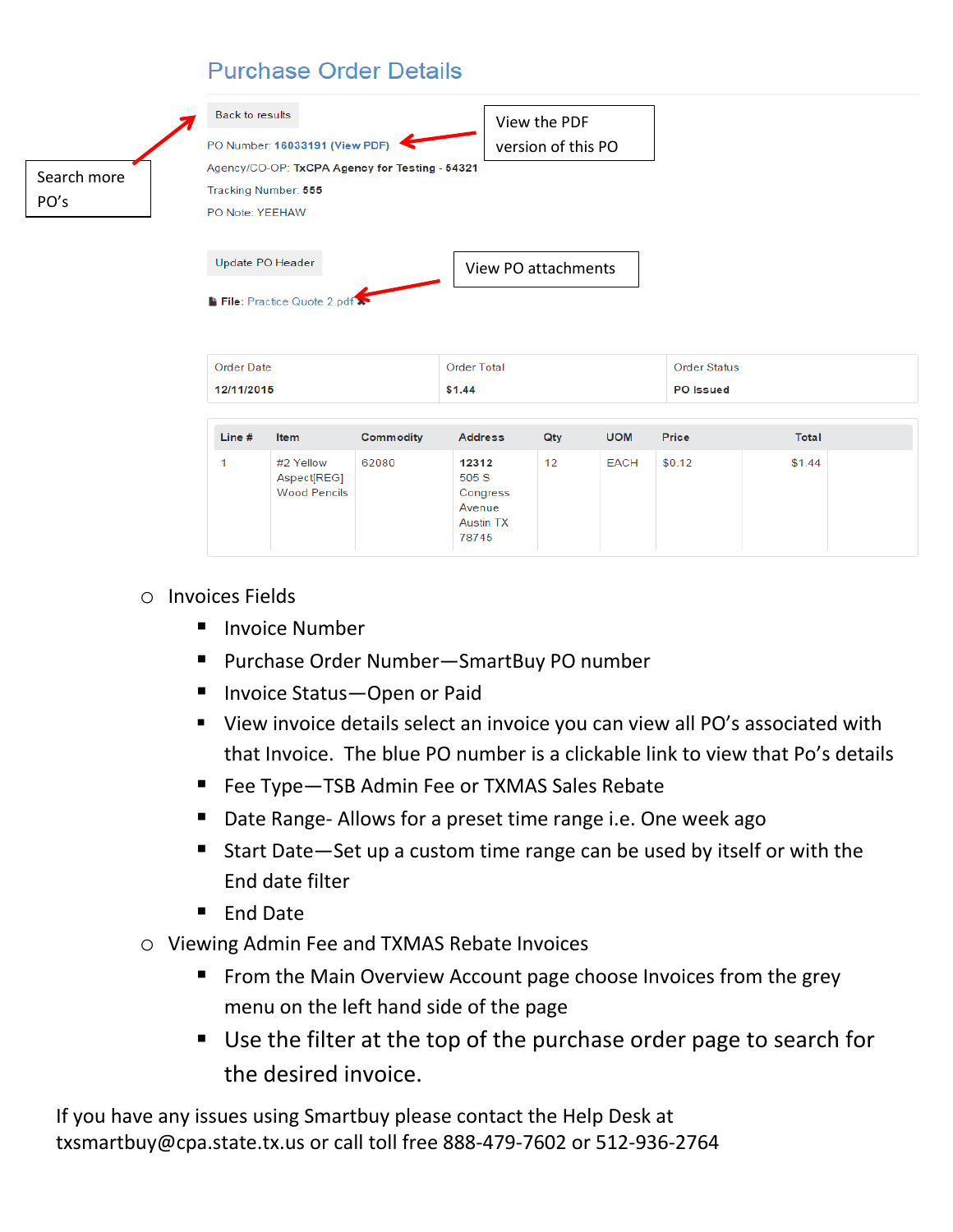## **Purchase Order Details**



Congress Avenue **Austin TX** 78745

- o Invoices Fields
	- Invoice Number

**Wood Pencils** 

- Purchase Order Number—SmartBuy PO number
- Invoice Status Open or Paid
- View invoice details select an invoice you can view all PO's associated with that Invoice. The blue PO number is a clickable link to view that Po's details
- Fee Type-TSB Admin Fee or TXMAS Sales Rebate
- Date Range- Allows for a preset time range i.e. One week ago
- Start Date—Set up a custom time range can be used by itself or with the End date filter
- End Date
- o Viewing Admin Fee and TXMAS Rebate Invoices
	- **From the Main Overview Account page choose Invoices from the grey** menu on the left hand side of the page
	- Use the filter at the top of the purchase order page to search for the desired invoice.